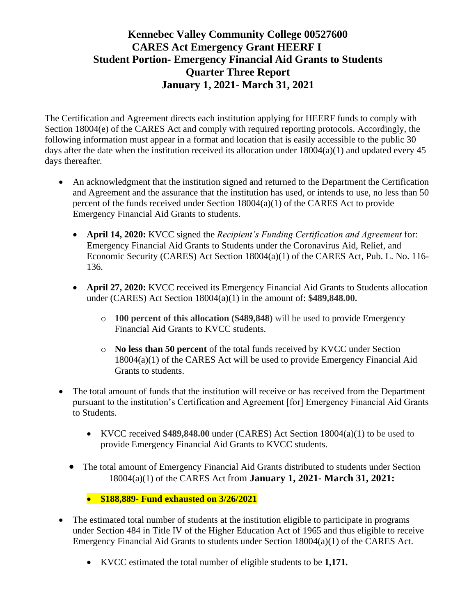The Certification and Agreement directs each institution applying for HEERF funds to comply with Section 18004(e) of the CARES Act and comply with required reporting protocols. Accordingly, the following information must appear in a format and location that is easily accessible to the public 30 days after the date when the institution received its allocation under  $18004(a)(1)$  and updated every 45 days thereafter.

- An acknowledgment that the institution signed and returned to the Department the Certification and Agreement and the assurance that the institution has used, or intends to use, no less than 50 percent of the funds received under Section 18004(a)(1) of the CARES Act to provide Emergency Financial Aid Grants to students.
	- **April 14, 2020:** KVCC signed the *Recipient's Funding Certification and Agreement* for: Emergency Financial Aid Grants to Students under the Coronavirus Aid, Relief, and Economic Security (CARES) Act Section 18004(a)(1) of the CARES Act, Pub. L. No. 116- 136.
	- **April 27, 2020:** KVCC received its Emergency Financial Aid Grants to Students allocation under (CARES) Act Section 18004(a)(1) in the amount of: **\$489,848.00.** 
		- o **100 percent of this allocation (\$489,848)** will be used to provide Emergency Financial Aid Grants to KVCC students.
		- o **No less than 50 percent** of the total funds received by KVCC under Section 18004(a)(1) of the CARES Act will be used to provide Emergency Financial Aid Grants to students.
- The total amount of funds that the institution will receive or has received from the Department pursuant to the institution's Certification and Agreement [for] Emergency Financial Aid Grants to Students.
	- KVCC received **\$489,848.00** under (CARES) Act Section 18004(a)(1) to be used to provide Emergency Financial Aid Grants to KVCC students.
	- The total amount of Emergency Financial Aid Grants distributed to students under Section 18004(a)(1) of the CARES Act from **January 1, 2021- March 31, 2021:**
		- **\$188,889- Fund exhausted on 3/26/2021**
- The estimated total number of students at the institution eligible to participate in programs under Section 484 in Title IV of the Higher Education Act of 1965 and thus eligible to receive Emergency Financial Aid Grants to students under Section 18004(a)(1) of the CARES Act.
	- KVCC estimated the total number of eligible students to be **1,171.**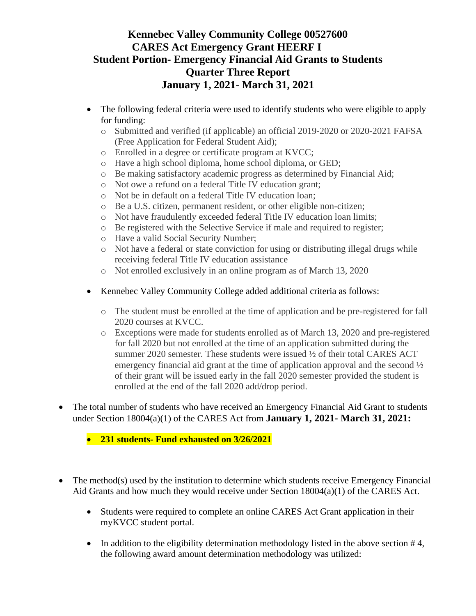- The following federal criteria were used to identify students who were eligible to apply for funding:
	- o Submitted and verified (if applicable) an official 2019-2020 or 2020-2021 FAFSA (Free Application for Federal Student Aid);
	- o Enrolled in a degree or certificate program at KVCC;
	- o Have a high school diploma, home school diploma, or GED;
	- o Be making satisfactory academic progress as determined by Financial Aid;
	- o Not owe a refund on a federal Title IV education grant;
	- o Not be in default on a federal Title IV education loan;
	- o Be a U.S. citizen, permanent resident, or other eligible non-citizen;
	- o Not have fraudulently exceeded federal Title IV education loan limits;
	- o Be registered with the Selective Service if male and required to register;
	- o Have a valid Social Security Number;
	- o Not have a federal or state conviction for using or distributing illegal drugs while receiving federal Title IV education assistance
	- o Not enrolled exclusively in an online program as of March 13, 2020
- Kennebec Valley Community College added additional criteria as follows:
	- o The student must be enrolled at the time of application and be pre-registered for fall 2020 courses at KVCC.
	- o Exceptions were made for students enrolled as of March 13, 2020 and pre-registered for fall 2020 but not enrolled at the time of an application submitted during the summer 2020 semester. These students were issued  $\frac{1}{2}$  of their total CARES ACT emergency financial aid grant at the time of application approval and the second  $\frac{1}{2}$ of their grant will be issued early in the fall 2020 semester provided the student is enrolled at the end of the fall 2020 add/drop period.
- The total number of students who have received an Emergency Financial Aid Grant to students under Section 18004(a)(1) of the CARES Act from **January 1, 2021- March 31, 2021:**

• **231 students- Fund exhausted on 3/26/2021**

- The method(s) used by the institution to determine which students receive Emergency Financial Aid Grants and how much they would receive under Section 18004(a)(1) of the CARES Act.
	- Students were required to complete an online CARES Act Grant application in their myKVCC student portal.
	- In addition to the eligibility determination methodology listed in the above section  $#4$ , the following award amount determination methodology was utilized: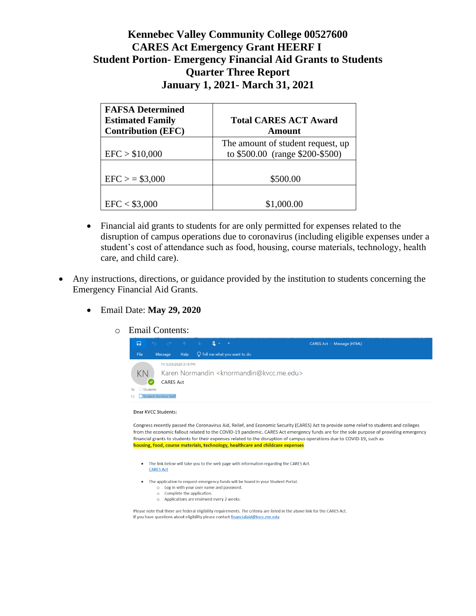| <b>FAFSA Determined</b><br><b>Estimated Family</b><br><b>Contribution (EFC)</b> | <b>Total CARES ACT Award</b><br>Amount                               |
|---------------------------------------------------------------------------------|----------------------------------------------------------------------|
| EFC > \$10,000                                                                  | The amount of student request, up<br>to \$500.00 (range \$200-\$500) |
| $EFC$ > = \$3,000                                                               | \$500.00                                                             |
| EFC < \$3,000                                                                   | \$1,000.00                                                           |

- Financial aid grants to students for are only permitted for expenses related to the disruption of campus operations due to coronavirus (including eligible expenses under a student's cost of attendance such as food, housing, course materials, technology, health care, and child care).
- Any instructions, directions, or guidance provided by the institution to students concerning the Emergency Financial Aid Grants.
	- Email Date: **May 29, 2020**
		- o Email Contents:



#### Dear KVCC Students:

Congress recently passed the Coronavirus Aid, Relief, and Economic Security (CARES) Act to provide some relief to students and colleges from the economic fallout related to the COVID-19 pandemic. CARES Act emergency funds are for the sole purpose of providing emergency financial grants to students for their expenses related to the disruption of campus operations due to COVID-19, such as housing, food, course materials, technology, healthcare and childcare expenses

- The link below will take you to the web page with information regarding the CARES Act. **CARES Act**
- The application to request emergency funds will be found in your Student Portal.
	- o Log in with your user name and password.
	- o Complete the application. o Applications are reviewed every 2 weeks.
		-

Please note that there are federal eligibility requirements. The criteria are listed in the above link for the CARES Act. If you have questions about eligibility please contact financialaid@kvcc.me.edu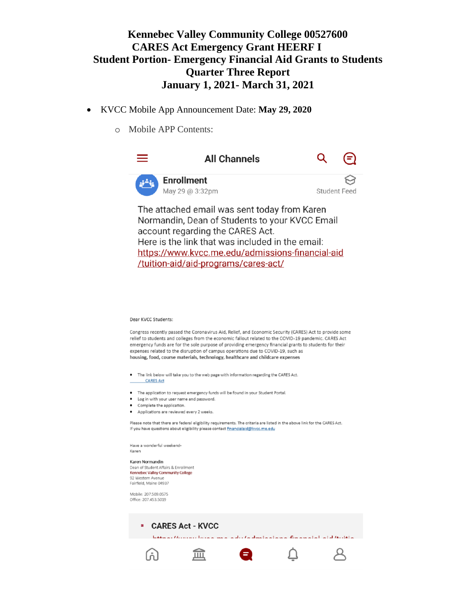- KVCC Mobile App Announcement Date: **May 29, 2020**
	- o Mobile APP Contents:



Have a wonderful weekend-Karen

Karen Normandin Dean of Student Affairs & Enrollment Kennebec Valley Community College 92 Western Avenue Fairfield, Maine 04937

Mobile: 207.509.0575 Office: 207.453.5019

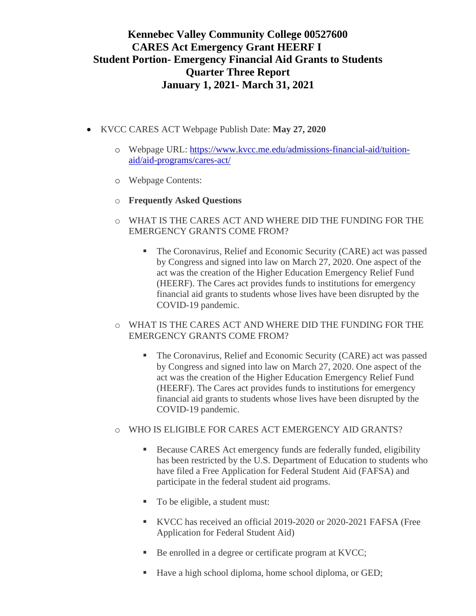- KVCC CARES ACT Webpage Publish Date: **May 27, 2020**
	- o Webpage URL: [https://www.kvcc.me.edu/admissions-financial-aid/tuition](https://www.kvcc.me.edu/admissions-financial-aid/tuition-aid/aid-programs/cares-act/)[aid/aid-programs/cares-act/](https://www.kvcc.me.edu/admissions-financial-aid/tuition-aid/aid-programs/cares-act/)
	- o Webpage Contents:
	- o **Frequently Asked Questions**
	- o WHAT IS THE CARES ACT AND WHERE DID THE FUNDING FOR THE EMERGENCY GRANTS COME FROM?
		- The Coronavirus, Relief and Economic Security (CARE) act was passed by Congress and signed into law on March 27, 2020. One aspect of the act was the creation of the Higher Education Emergency Relief Fund (HEERF). The Cares act provides funds to institutions for emergency financial aid grants to students whose lives have been disrupted by the COVID-19 pandemic.
	- o WHAT IS THE CARES ACT AND WHERE DID THE FUNDING FOR THE EMERGENCY GRANTS COME FROM?
		- The Coronavirus, Relief and Economic Security (CARE) act was passed by Congress and signed into law on March 27, 2020. One aspect of the act was the creation of the Higher Education Emergency Relief Fund (HEERF). The Cares act provides funds to institutions for emergency financial aid grants to students whose lives have been disrupted by the COVID-19 pandemic.
	- o WHO IS ELIGIBLE FOR CARES ACT EMERGENCY AID GRANTS?
		- Because CARES Act emergency funds are federally funded, eligibility has been restricted by the U.S. Department of Education to students who have filed a Free Application for Federal Student Aid (FAFSA) and participate in the federal student aid programs.
		- To be eligible, a student must:
		- KVCC has received an official 2019-2020 or 2020-2021 FAFSA (Free Application for Federal Student Aid)
		- Be enrolled in a degree or certificate program at KVCC;
		- Have a high school diploma, home school diploma, or GED;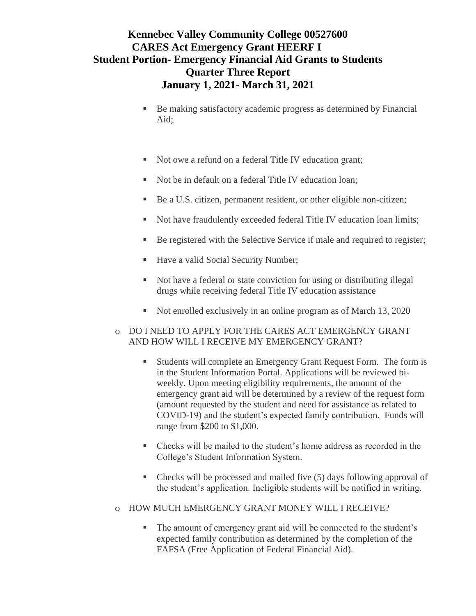- Be making satisfactory academic progress as determined by Financial Aid;
- Not owe a refund on a federal Title IV education grant;
- Not be in default on a federal Title IV education loan;
- Be a U.S. citizen, permanent resident, or other eligible non-citizen;
- Not have fraudulently exceeded federal Title IV education loan limits;
- Be registered with the Selective Service if male and required to register;
- Have a valid Social Security Number;
- Not have a federal or state conviction for using or distributing illegal drugs while receiving federal Title IV education assistance
- Not enrolled exclusively in an online program as of March 13, 2020

#### o DO I NEED TO APPLY FOR THE CARES ACT EMERGENCY GRANT AND HOW WILL I RECEIVE MY EMERGENCY GRANT?

- Students will complete an Emergency Grant Request Form. The form is in the [Student Information Portal.](http://my.kvcc.me.edu/) Applications will be reviewed biweekly. Upon meeting eligibility requirements, the amount of the emergency grant aid will be determined by a review of the request form (amount requested by the student and need for assistance as related to COVID-19) and the student's expected family contribution. Funds will range from \$200 to \$1,000.
- Checks will be mailed to the student's home address as recorded in the College's Student Information System.
- Checks will be processed and mailed five (5) days following approval of the student's application. Ineligible students will be notified in writing.
- o HOW MUCH EMERGENCY GRANT MONEY WILL I RECEIVE?
	- The amount of emergency grant aid will be connected to the student's expected family contribution as determined by the completion of the FAFSA (Free Application of Federal Financial Aid).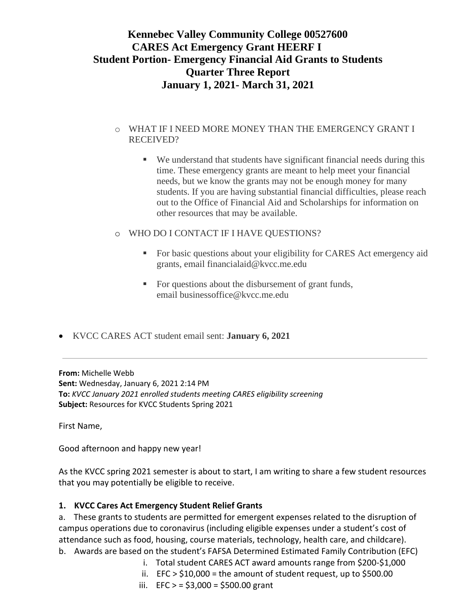#### o WHAT IF I NEED MORE MONEY THAN THE EMERGENCY GRANT I RECEIVED?

- We understand that students have significant financial needs during this time. These emergency grants are meant to help meet your financial needs, but we know the grants may not be enough money for many students. If you are having substantial financial difficulties, please reach out to the Office of Financial Aid and Scholarships for information on other resources that may be available.
- o WHO DO I CONTACT IF I HAVE QUESTIONS?
	- For basic questions about your eligibility for CARES Act emergency aid grants, email [financialaid@kvcc.me.edu](mailto:financialaid@kvcc.me.edu)
	- For questions about the disbursement of grant funds, email [businessoffice@kvcc.me.edu](mailto:businessoffice@kvcc.me.edu)
- KVCC CARES ACT student email sent: **January 6, 2021**

**From:** Michelle Webb **Sent:** Wednesday, January 6, 2021 2:14 PM **To:** *KVCC January 2021 enrolled students meeting CARES eligibility screening* **Subject:** Resources for KVCC Students Spring 2021

First Name,

Good afternoon and happy new year!

As the KVCC spring 2021 semester is about to start, I am writing to share a few student resources that you may potentially be eligible to receive.

#### **1. KVCC Cares Act Emergency Student Relief Grants**

a. These grants to students are permitted for emergent expenses related to the disruption of campus operations due to coronavirus (including eligible expenses under a student's cost of attendance such as food, housing, course materials, technology, health care, and childcare). b. Awards are based on the student's FAFSA Determined Estimated Family Contribution (EFC)

- i. Total student CARES ACT award amounts range from \$200-\$1,000
	- ii.  $EFC > $10,000 =$  the amount of student request, up to \$500.00
	- iii. EFC  $> = $3,000 = $500.00$  grant